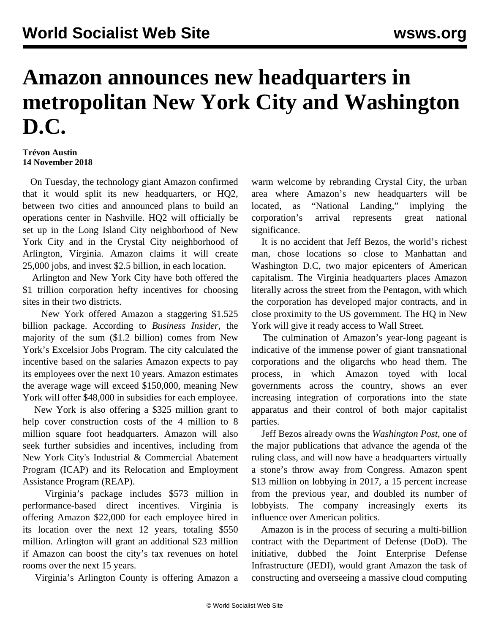## **Amazon announces new headquarters in metropolitan New York City and Washington D.C.**

**Trévon Austin 14 November 2018**

 On Tuesday, the technology giant Amazon confirmed that it would split its new headquarters, or HQ2, between two cities and announced plans to build an operations center in Nashville. HQ2 will officially be set up in the Long Island City neighborhood of New York City and in the Crystal City neighborhood of Arlington, Virginia. Amazon claims it will create 25,000 jobs, and invest \$2.5 billion, in each location.

 Arlington and New York City have both offered the \$1 trillion corporation hefty incentives for choosing sites in their two districts.

 New York offered Amazon a staggering \$1.525 billion package. According to *Business Insider*, the majority of the sum (\$1.2 billion) comes from New York's Excelsior Jobs Program. The city calculated the incentive based on the salaries Amazon expects to pay its employees over the next 10 years. Amazon estimates the average wage will exceed \$150,000, meaning New York will offer \$48,000 in subsidies for each employee.

 New York is also offering a \$325 million grant to help cover construction costs of the 4 million to 8 million square foot headquarters. Amazon will also seek further subsidies and incentives, including from New York City's Industrial & Commercial Abatement Program (ICAP) and its Relocation and Employment Assistance Program (REAP).

 Virginia's package includes \$573 million in performance-based direct incentives. Virginia is offering Amazon \$22,000 for each employee hired in its location over the next 12 years, totaling \$550 million. Arlington will grant an additional \$23 million if Amazon can boost the city's tax revenues on hotel rooms over the next 15 years.

Virginia's Arlington County is offering Amazon a

warm welcome by rebranding Crystal City, the urban area where Amazon's new headquarters will be located, as "National Landing," implying the corporation's arrival represents great national significance.

 It is no accident that Jeff Bezos, the world's richest man, chose locations so close to Manhattan and Washington D.C, two major epicenters of American capitalism. The Virginia headquarters places Amazon literally across the street from the Pentagon, with which the corporation has developed major contracts, and in close proximity to the US government. The HQ in New York will give it ready access to Wall Street.

 The culmination of Amazon's year-long pageant is indicative of the immense power of giant transnational corporations and the oligarchs who head them. The process, in which Amazon toyed with local governments across the country, shows an ever increasing integration of corporations into the state apparatus and their control of both major capitalist parties.

 Jeff Bezos already owns the *Washington Post*, one of the major publications that advance the agenda of the ruling class, and will now have a headquarters virtually a stone's throw away from Congress. Amazon spent \$13 million on lobbying in 2017, a 15 percent increase from the previous year, and doubled its number of lobbyists. The company increasingly exerts its influence over American politics.

 Amazon is in the process of securing a multi-billion contract with the Department of Defense (DoD). The initiative, dubbed the Joint Enterprise Defense Infrastructure (JEDI), would grant Amazon the task of constructing and overseeing a massive cloud computing